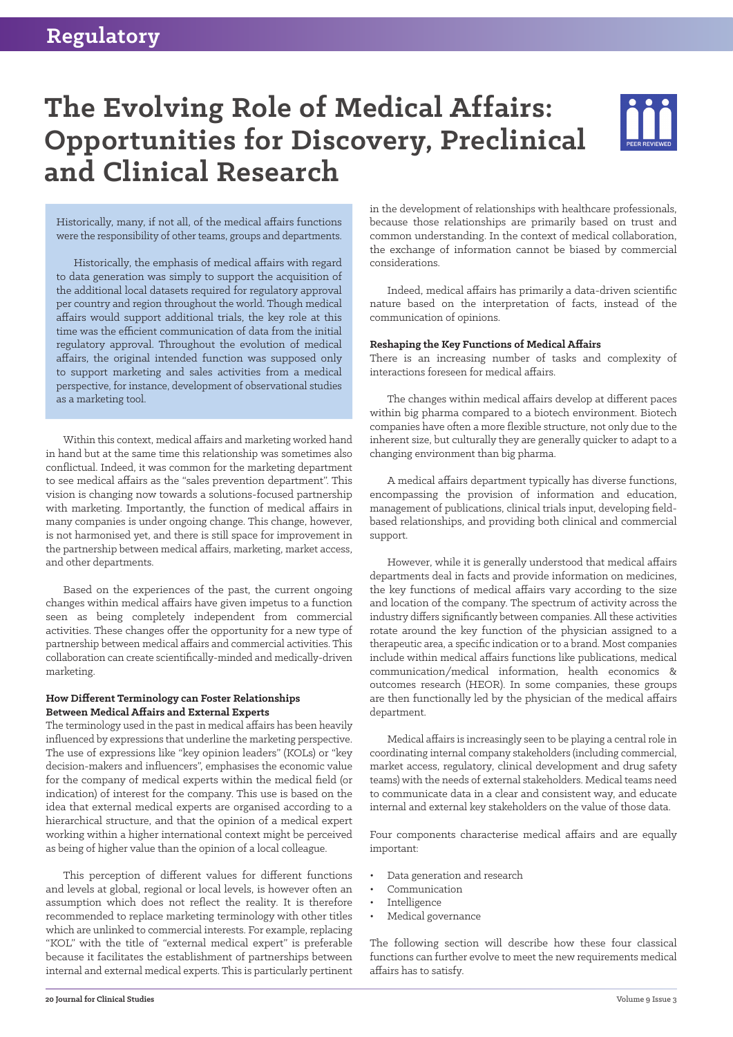# **The Evolving Role of Medical Affairs: Opportunities for Discovery, Preclinical and Clinical Research**



Historically, many, if not all, of the medical affairs functions were the responsibility of other teams, groups and departments.

Historically, the emphasis of medical affairs with regard to data generation was simply to support the acquisition of the additional local datasets required for regulatory approval per country and region throughout the world. Though medical affairs would support additional trials, the key role at this time was the efficient communication of data from the initial regulatory approval. Throughout the evolution of medical affairs, the original intended function was supposed only to support marketing and sales activities from a medical perspective, for instance, development of observational studies as a marketing tool.

Within this context, medical affairs and marketing worked hand in hand but at the same time this relationship was sometimes also conflictual. Indeed, it was common for the marketing department to see medical affairs as the "sales prevention department". This vision is changing now towards a solutions-focused partnership with marketing. Importantly, the function of medical affairs in many companies is under ongoing change. This change, however, is not harmonised yet, and there is still space for improvement in the partnership between medical affairs, marketing, market access, and other departments.

Based on the experiences of the past, the current ongoing changes within medical affairs have given impetus to a function seen as being completely independent from commercial activities. These changes offer the opportunity for a new type of partnership between medical affairs and commercial activities. This collaboration can create scientifically-minded and medically-driven marketing.

## **How Different Terminology can Foster Relationships Between Medical Affairs and External Experts**

The terminology used in the past in medical affairs has been heavily influenced by expressions that underline the marketing perspective. The use of expressions like "key opinion leaders" (KOLs) or "key decision-makers and influencers", emphasises the economic value for the company of medical experts within the medical field (or indication) of interest for the company. This use is based on the idea that external medical experts are organised according to a hierarchical structure, and that the opinion of a medical expert working within a higher international context might be perceived as being of higher value than the opinion of a local colleague.

This perception of different values for different functions and levels at global, regional or local levels, is however often an assumption which does not reflect the reality. It is therefore recommended to replace marketing terminology with other titles which are unlinked to commercial interests. For example, replacing "KOL" with the title of "external medical expert" is preferable because it facilitates the establishment of partnerships between internal and external medical experts. This is particularly pertinent

in the development of relationships with healthcare professionals, because those relationships are primarily based on trust and common understanding. In the context of medical collaboration, the exchange of information cannot be biased by commercial considerations.

Indeed, medical affairs has primarily a data-driven scientific nature based on the interpretation of facts, instead of the communication of opinions.

#### **Reshaping the Key Functions of Medical Affairs**

There is an increasing number of tasks and complexity of interactions foreseen for medical affairs.

The changes within medical affairs develop at different paces within big pharma compared to a biotech environment. Biotech companies have often a more flexible structure, not only due to the inherent size, but culturally they are generally quicker to adapt to a changing environment than big pharma.

A medical affairs department typically has diverse functions, encompassing the provision of information and education, management of publications, clinical trials input, developing fieldbased relationships, and providing both clinical and commercial support.

However, while it is generally understood that medical affairs departments deal in facts and provide information on medicines, the key functions of medical affairs vary according to the size and location of the company. The spectrum of activity across the industry differs significantly between companies. All these activities rotate around the key function of the physician assigned to a therapeutic area, a specific indication or to a brand. Most companies include within medical affairs functions like publications, medical communication/medical information, health economics & outcomes research (HEOR). In some companies, these groups are then functionally led by the physician of the medical affairs department.

Medical affairs is increasingly seen to be playing a central role in coordinating internal company stakeholders (including commercial, market access, regulatory, clinical development and drug safety teams) with the needs of external stakeholders. Medical teams need to communicate data in a clear and consistent way, and educate internal and external key stakeholders on the value of those data.

Four components characterise medical affairs and are equally important:

- Data generation and research
- Communication
- **Intelligence**
- Medical governance

The following section will describe how these four classical functions can further evolve to meet the new requirements medical affairs has to satisfy.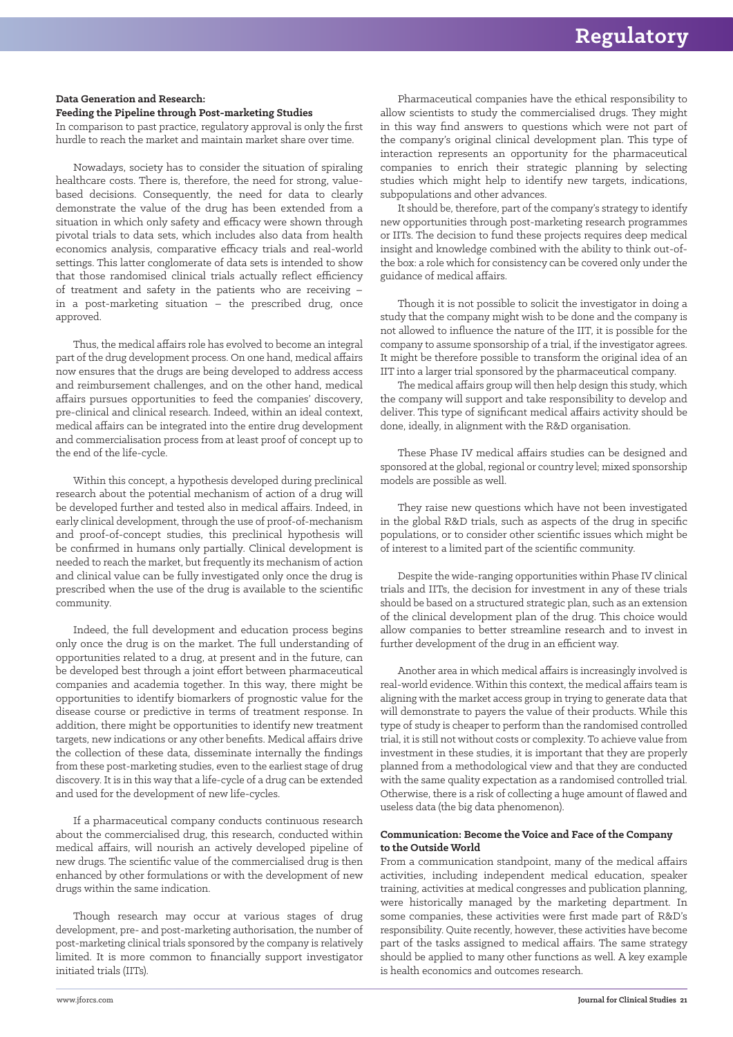#### **Data Generation and Research:**

### **Feeding the Pipeline through Post-marketing Studies**

In comparison to past practice, regulatory approval is only the first hurdle to reach the market and maintain market share over time.

Nowadays, society has to consider the situation of spiraling healthcare costs. There is, therefore, the need for strong, valuebased decisions. Consequently, the need for data to clearly demonstrate the value of the drug has been extended from a situation in which only safety and efficacy were shown through pivotal trials to data sets, which includes also data from health economics analysis, comparative efficacy trials and real-world settings. This latter conglomerate of data sets is intended to show that those randomised clinical trials actually reflect efficiency of treatment and safety in the patients who are receiving – in a post-marketing situation – the prescribed drug, once approved.

Thus, the medical affairs role has evolved to become an integral part of the drug development process. On one hand, medical affairs now ensures that the drugs are being developed to address access and reimbursement challenges, and on the other hand, medical affairs pursues opportunities to feed the companies' discovery, pre-clinical and clinical research. Indeed, within an ideal context, medical affairs can be integrated into the entire drug development and commercialisation process from at least proof of concept up to the end of the life-cycle.

Within this concept, a hypothesis developed during preclinical research about the potential mechanism of action of a drug will be developed further and tested also in medical affairs. Indeed, in early clinical development, through the use of proof-of-mechanism and proof-of-concept studies, this preclinical hypothesis will be confirmed in humans only partially. Clinical development is needed to reach the market, but frequently its mechanism of action and clinical value can be fully investigated only once the drug is prescribed when the use of the drug is available to the scientific community.

Indeed, the full development and education process begins only once the drug is on the market. The full understanding of opportunities related to a drug, at present and in the future, can be developed best through a joint effort between pharmaceutical companies and academia together. In this way, there might be opportunities to identify biomarkers of prognostic value for the disease course or predictive in terms of treatment response. In addition, there might be opportunities to identify new treatment targets, new indications or any other benefits. Medical affairs drive the collection of these data, disseminate internally the findings from these post-marketing studies, even to the earliest stage of drug discovery. It is in this way that a life-cycle of a drug can be extended and used for the development of new life-cycles.

If a pharmaceutical company conducts continuous research about the commercialised drug, this research, conducted within medical affairs, will nourish an actively developed pipeline of new drugs. The scientific value of the commercialised drug is then enhanced by other formulations or with the development of new drugs within the same indication.

Though research may occur at various stages of drug development, pre- and post-marketing authorisation, the number of post-marketing clinical trials sponsored by the company is relatively limited. It is more common to financially support investigator initiated trials (IITs).

Pharmaceutical companies have the ethical responsibility to allow scientists to study the commercialised drugs. They might in this way find answers to questions which were not part of the company's original clinical development plan. This type of interaction represents an opportunity for the pharmaceutical companies to enrich their strategic planning by selecting studies which might help to identify new targets, indications, subpopulations and other advances.

It should be, therefore, part of the company's strategy to identify new opportunities through post-marketing research programmes or IITs. The decision to fund these projects requires deep medical insight and knowledge combined with the ability to think out-ofthe box: a role which for consistency can be covered only under the guidance of medical affairs.

Though it is not possible to solicit the investigator in doing a study that the company might wish to be done and the company is not allowed to influence the nature of the IIT, it is possible for the company to assume sponsorship of a trial, if the investigator agrees. It might be therefore possible to transform the original idea of an IIT into a larger trial sponsored by the pharmaceutical company.

The medical affairs group will then help design this study, which the company will support and take responsibility to develop and deliver. This type of significant medical affairs activity should be done, ideally, in alignment with the R&D organisation.

These Phase IV medical affairs studies can be designed and sponsored at the global, regional or country level; mixed sponsorship models are possible as well.

They raise new questions which have not been investigated in the global R&D trials, such as aspects of the drug in specific populations, or to consider other scientific issues which might be of interest to a limited part of the scientific community.

Despite the wide-ranging opportunities within Phase IV clinical trials and IITs, the decision for investment in any of these trials should be based on a structured strategic plan, such as an extension of the clinical development plan of the drug. This choice would allow companies to better streamline research and to invest in further development of the drug in an efficient way.

Another area in which medical affairs is increasingly involved is real-world evidence. Within this context, the medical affairs team is aligning with the market access group in trying to generate data that will demonstrate to payers the value of their products. While this type of study is cheaper to perform than the randomised controlled trial, it is still not without costs or complexity. To achieve value from investment in these studies, it is important that they are properly planned from a methodological view and that they are conducted with the same quality expectation as a randomised controlled trial. Otherwise, there is a risk of collecting a huge amount of flawed and useless data (the big data phenomenon).

# **Communication: Become the Voice and Face of the Company to the Outside World**

From a communication standpoint, many of the medical affairs activities, including independent medical education, speaker training, activities at medical congresses and publication planning, were historically managed by the marketing department. In some companies, these activities were first made part of R&D's responsibility. Quite recently, however, these activities have become part of the tasks assigned to medical affairs. The same strategy should be applied to many other functions as well. A key example is health economics and outcomes research.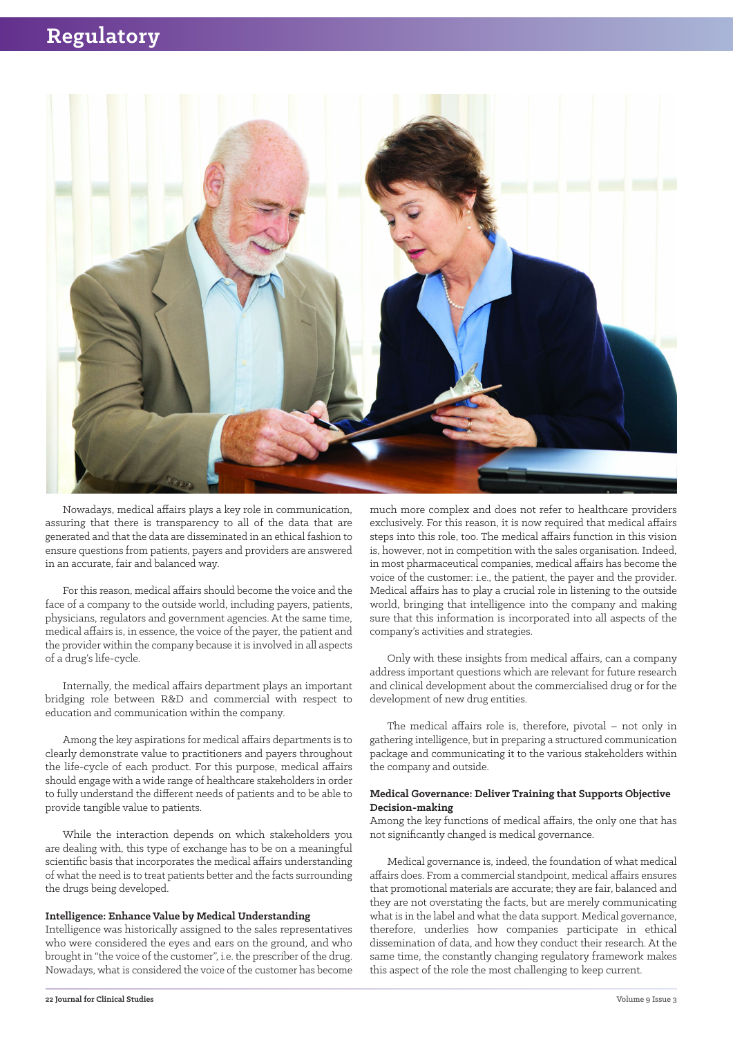

Nowadays, medical affairs plays a key role in communication, assuring that there is transparency to all of the data that are generated and that the data are disseminated in an ethical fashion to ensure questions from patients, payers and providers are answered in an accurate, fair and balanced way.

For this reason, medical affairs should become the voice and the face of a company to the outside world, including payers, patients, physicians, regulators and government agencies. At the same time, medical affairs is, in essence, the voice of the payer, the patient and the provider within the company because it is involved in all aspects of a drug's life-cycle.

Internally, the medical affairs department plays an important bridging role between R&D and commercial with respect to education and communication within the company.

Among the key aspirations for medical affairs departments is to clearly demonstrate value to practitioners and payers throughout the life-cycle of each product. For this purpose, medical affairs should engage with a wide range of healthcare stakeholders in order to fully understand the different needs of patients and to be able to provide tangible value to patients.

While the interaction depends on which stakeholders you are dealing with, this type of exchange has to be on a meaningful scientific basis that incorporates the medical affairs understanding of what the need is to treat patients better and the facts surrounding the drugs being developed.

#### **Intelligence: Enhance Value by Medical Understanding**

Intelligence was historically assigned to the sales representatives who were considered the eyes and ears on the ground, and who brought in "the voice of the customer", i.e. the prescriber of the drug. Nowadays, what is considered the voice of the customer has become

much more complex and does not refer to healthcare providers exclusively. For this reason, it is now required that medical affairs steps into this role, too. The medical affairs function in this vision is, however, not in competition with the sales organisation. Indeed, in most pharmaceutical companies, medical affairs has become the voice of the customer: i.e., the patient, the payer and the provider. Medical affairs has to play a crucial role in listening to the outside world, bringing that intelligence into the company and making sure that this information is incorporated into all aspects of the company's activities and strategies.

Only with these insights from medical affairs, can a company address important questions which are relevant for future research and clinical development about the commercialised drug or for the development of new drug entities.

The medical affairs role is, therefore, pivotal – not only in gathering intelligence, but in preparing a structured communication package and communicating it to the various stakeholders within the company and outside.

#### **Medical Governance: Deliver Training that Supports Objective Decision-making**

Among the key functions of medical affairs, the only one that has not significantly changed is medical governance.

Medical governance is, indeed, the foundation of what medical affairs does. From a commercial standpoint, medical affairs ensures that promotional materials are accurate; they are fair, balanced and they are not overstating the facts, but are merely communicating what is in the label and what the data support. Medical governance, therefore, underlies how companies participate in ethical dissemination of data, and how they conduct their research. At the same time, the constantly changing regulatory framework makes this aspect of the role the most challenging to keep current.